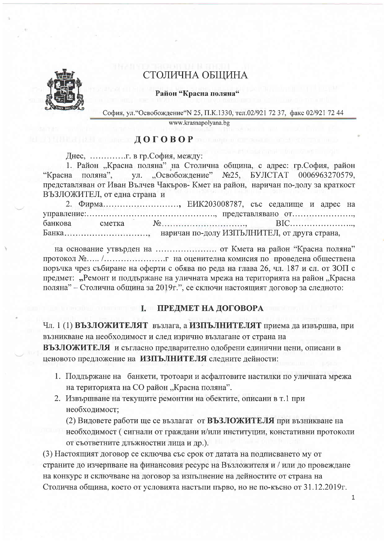

# СТОЛИЧНА ОБЩИНА

Район "Красна поляна"

София, ул. "Освобождение" N 25, П.К.1330, тел.02/921 72 37, факс 02/921 72 44

www.krasnapolyana.bg

## $\blacksquare$   $\blacksquare$   $\blacksquare$   $\blacksquare$   $\blacksquare$   $\blacksquare$   $\blacksquare$   $\blacksquare$   $\blacksquare$   $\blacksquare$   $\blacksquare$   $\blacksquare$   $\blacksquare$   $\blacksquare$   $\blacksquare$   $\blacksquare$   $\blacksquare$   $\blacksquare$   $\blacksquare$   $\blacksquare$   $\blacksquare$   $\blacksquare$   $\blacksquare$   $\blacksquare$   $\blacksquare$   $\blacksquare$   $\blacksquare$   $\blacksquare$   $\blacksquare$   $\blacksquare$   $\blacksquare$   $\blacks$

1. Район "Красна поляна" на Столична община, с адрес: гр.София, район ул. "Освобождение"  $N<sub>25</sub>$ БУЛСТАТ 0006963270579. "Красна поляна". представляван от Иван Вълчев Чакъров- Кмет на район, наричан по-долу за краткост ВЪЗЛОЖИТЕЛ, от една страна и

2. Фирма........................, ЕИК203008787, със седалище и адрес на банкова сметка Банка.................................. наричан по-долу ИЗПЪЛНИТЕЛ, от друга страна,

на основание утвърден на ......................... от Кмета на район "Красна поляна" поръчка чрез събиране на оферти с обява по реда на глава 26, чл. 187 и сл. от ЗОП с предмет: "Ремонт и поддържане на уличната мрежа на територията на район "Красна поляна" - Столична община за 2019г.", се сключи настоящият договор за следното:

## **I. ПРЕДМЕТ НА ДОГОВОРА**

Чл. 1 (1) ВЪЗЛОЖИТЕЛЯТ възлага, а ИЗПЪЛНИТЕЛЯТ приема да извършва, при възникване на необходимост и след изрично възлагане от страна на

ВЪЗЛОЖИТЕЛЯ и съгласно предварително одобрени единични цени, описани в ценовото предложение на ИЗПЪЛНИТЕЛЯ следните дейности:

- 1. Поддържане на банкети, тротоари и асфалтовите настилки по уличната мрежа на територията на СО район "Красна поляна".
- 2. Извършване на текущите ремонтни на обектите, описани в т.1 при необходимост;

(2) Видовете работи ще се възлагат от ВЪЗЛОЖИТЕЛЯ при възникване на необходимост (сигнали от граждани и/или институции, констативни протоколи от съответните длъжностни лица и др.).

(3) Настоящият договор се сключва със срок от датата на подписването му от страните до изчерпване на финансовия ресурс на Възложителя и / или до провеждане на конкурс и сключване на договор за изпълнение на дейностите от страна на Столична община, което от условията настъпи първо, но не по-късно от 31.12.2019г.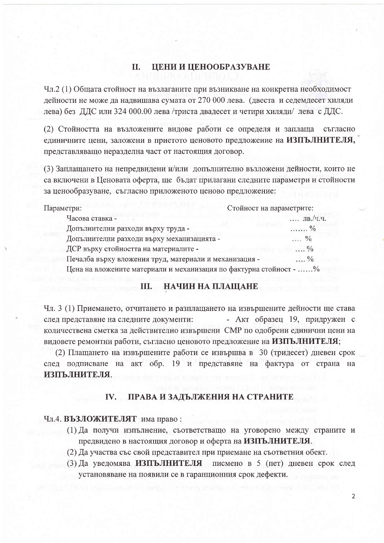#### II. ЦЕНИ И ЦЕНООБРАЗУВАНЕ

Чл.2 (1) Общата стойност на възлаганите при възникване на конкретна необходимост дейности не може да надвишава сумата от 270 000 лева. (двеста и седемдесет хиляди лева) без ДДС или 324 000.00 лева /триста двадесет и четири хиляди/ лева с ДДС.

(2) Стойността на възложените видове работи се определя и заплаща съгласно единичните цени, заложени в приетото ценовото предложение на ИЗПЪЛНИТЕЛЯ, представляващо неразделна част от настоящия договор.

(3) Заплащането на непредвидени и/или допълнително възложени дейности, които не са включени в Ценовата оферта, ще бъдат прилагани следните параметри и стойности за ценообразуване, съгласно приложеното ценово предложение:

| Параметри:                                                         | Стойност на параметрите:                  |
|--------------------------------------------------------------------|-------------------------------------------|
| Часова ставка -                                                    | $\overline{JIB}$ , / <i>H</i> . <i>H.</i> |
| Допълнителни разходи върху труда -                                 | . %                                       |
| Допълнителни разходи върху механизацията -                         | %                                         |
| ДСР върху стойността на материалите -                              | $\ldots$ %                                |
| Печалба върху вложения труд, материали и механизация -             | $\ldots$ %                                |
| Цена на вложените материали и механизация по фактурна стойност - % |                                           |

## **Ш. НАЧИН НА ПЛАЩАНЕ**

Чл. 3 (1) Приемането, отчитането и разплащането на извършените дейности ще става след представяне на следните документи: - Акт образец 19, придружен с количествена сметка за действително извършени СМР по одобрени единични цени на видовете ремонтни работи, съгласно ценовото предложение на ИЗПЪЛНИТЕЛЯ;

(2) Плащането на извършените работи се извършва в 30 (тридесет) дневен срок след подписване на акт обр. 19 и представяне на фактура от страна на ИЗПЪЛНИТЕЛЯ.

#### IV. ПРАВА И ЗАДЪЛЖЕНИЯ НА СТРАНИТЕ

#### Чл.4. ВЪЗЛОЖИТЕЛЯТ има право:

- (1) Да получи изпълнение, съответстващо на уговорено между страните и предвидено в настоящия договор и оферта на ИЗПЪЛНИТЕЛЯ.
- (2) Да участва със свой представител при приемане на съответния обект.
- (3) Да уведомява ИЗПЪЛНИТЕЛЯ писмено в 5 (пет) дневен срок след установяване на появили се в гаранционния срок дефекти.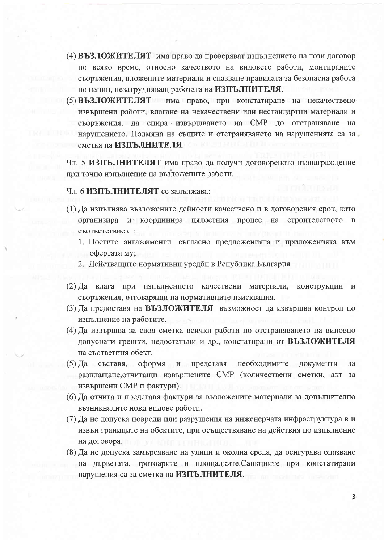- (4) ВЪЗЛОЖИТЕЛЯТ има право да проверяват изпълнението на този договор по всяко време, относно качеството на видовете работи, монтираните съоръжения, вложените материали и спазване правилата за безопасна работа по начин, незатрудняващ работата на ИЗПЪЛНИТЕЛЯ.
- (5) ВЪЗЛОЖИТЕЛЯТ има право, при констатиране на некачествено извършени работи, влагане на некачествени или нестандартни материали и съоръжения, да спира извършването на СМР до отстраняване на нарушението. Подмяна на същите и отстраняването на нарушенията са за сметка на ИЗПЪЛНИТЕЛЯ.

Чл. 5 ИЗПЪЛНИТЕЛЯТ има право да получи договореното възнаграждение при точно изпълнение на възложените работи.

#### Чл. 6 ИЗПЪЛНИТЕЛЯТ се задължава:

- (1) Да изпълнява възложените дейности качествено и в договорения срок, като организира и координира цялостния процес на строителството в съответствие с:
	- 1. Поетите ангажименти, съгласно предложенията и приложенията към офертата му:
	- 2. Действащите нормативни уредби в Република България
- (2) Да влага при изпълнението качествени материали, конструкции и съоръжения, отговарящи на нормативните изисквания.
- (3) Да предоставя на ВЪЗЛОЖИТЕЛЯ възможност да извършва контрол по изпълнение на работите.
- (4) Да извършва за своя сметка всички работи по отстраняването на виновно допуснати грешки, недостатьци и др., констатирани от ВЪЗЛОЖИТЕЛЯ на съответния обект.
- $(5)$  Да съставя, оформя и представя необходимите документи  $3a$ разплащане, отчитащи извършените СМР (количествени сметки, акт за извършени СМР и фактури).
- (6) Да отчита и представя фактури за възложените материали за допълнително възникналите нови видове работи.
- (7) Да не допуска повреди или разрушения на инженерната инфраструктура в и извън границите на обектите, при осъществяване на действия по изпълнение на договора.
- (8) Да не допуска замърсяване на улици и околна среда, да осигурява опазване на дърветата, тротоарите и площадките. Санкциите при констатирани нарушения са за сметка на ИЗПЪЛНИТЕЛЯ.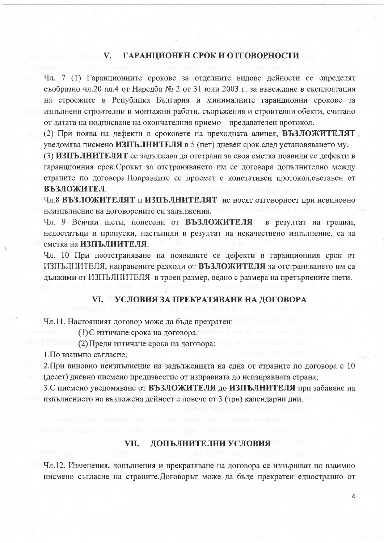### V. ГАРАНЦИОНЕН СРОК И ОТГОВОРНОСТИ

Чл. 7 (1) Гаранционните срокове за отделните видове дейности се определят съобразно чл.20 ал.4 от Наредба № 2 от 31 юли 2003 г. за въвеждане в експлоатация на строежите в Република България и минималните гаранционни срокове за изпълнени строителни и монтажни работи, съоръжения и строителни обекти, считано от датата на подписване на окончателния приемо - предавателен протокол.

(2) При поява на дефекти в сроковете на преходната алинея, ВЪЗЛОЖИТЕЛЯТ уведомява писмено ИЗПЪЛНИТЕЛЯ в 5 (пет) дневен срок след установяването му.

(3) ИЗПЪЛНИТЕЛЯТ се задължава да отстрани за своя сметка появили се дефекти в гаранционния срок. Срокът за отстраняването им се договаря допълнително между страните по договора. Поправките се приемат с констативен протокол, съставен от ВЪЗЛОЖИТЕЛ.

Чл.8 ВЪЗЛОЖИТЕЛЯТ и ИЗПЪЛНИТЕЛЯТ не носят отговорност при невиновно неизпълнение на договорените си задължения.

Чл. 9 Всички щети, понесени от ВЪЗЛОЖИТЕЛЯ в резултат на грешки, недостатьци и пропуски, настыпили в резултат на некачествено изпълнение, са за сметка на ИЗПЪЛНИТЕЛЯ.

Чл. 10 При неотстраняване на появилите се дефекти в гаранционния срок от ИЗПЪЛНИТЕЛЯ, направените разходи от ВЪЗЛОЖИТЕЛЯ за отстраняването им са дължими от ИЗПЪЛНИТЕЛЯ в троен размер, ведно с размера на претърпените щети.

### VI. УСЛОВИЯ ЗА ПРЕКРАТЯВАНЕ НА ДОГОВОРА

Чл.11. Настоящият договор може да бъде прекратен:

(1) С изтичане срока на договора.

(2) Преди изтичане срока на договора:

1. По взаимно съгласие;

2. При виновно неизпълнение на задълженията на една от страните по договора с 10 (десет) дневно писмено предизвестие от изправната до неизправната страна;

3. С писмено уведомяване от ВЪЗЛОЖИТЕЛЯ до ИЗПЪЛНИТЕЛЯ при забавяне на изпълнението на възложена дейност с повече от 3 (три) календарни дни.

#### VII. ДОПЪЛНИТЕЛНИ УСЛОВИЯ

Чл.12. Изменения, допълнения и прекратяване на договора се извършват по взаимно писмено съгласие на страните. Договорът може да бъде прекратен едностранно от